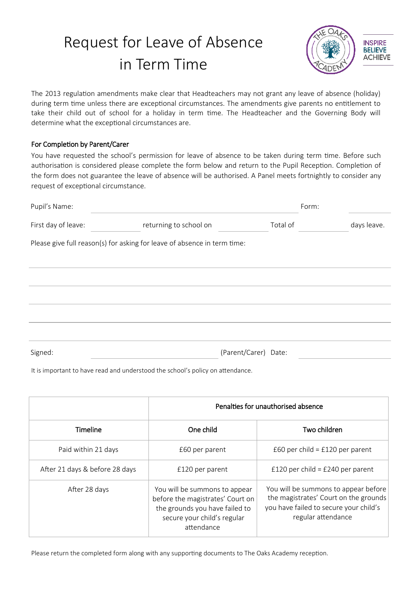## Request for Leave of Absence in Term Time



The 2013 regulation amendments make clear that Headteachers may not grant any leave of absence (holiday) during term time unless there are exceptional circumstances. The amendments give parents no entitlement to take their child out of school for a holiday in term time. The Headteacher and the Governing Body will determine what the exceptional circumstances are.

## For Completion by Parent/Carer

You have requested the school's permission for leave of absence to be taken during term time. Before such authorisation is considered please complete the form below and return to the Pupil Reception. Completion of the form does not guarantee the leave of absence will be authorised. A Panel meets fortnightly to consider any request of exceptional circumstance.

| Pupil's Name:       |                                                                          | Form:    |             |
|---------------------|--------------------------------------------------------------------------|----------|-------------|
| First day of leave: | returning to school on                                                   | Total of | days leave. |
|                     | Please give full reason(s) for asking for leave of absence in term time: |          |             |
|                     |                                                                          |          |             |
|                     |                                                                          |          |             |
|                     |                                                                          |          |             |
|                     |                                                                          |          |             |
| Signed:             | (Parent/Carer) Date:                                                     |          |             |

It is important to have read and understood the school's policy on attendance.

|                                | Penalties for unauthorised absence                                                                                                               |                                                                                                                                               |  |  |
|--------------------------------|--------------------------------------------------------------------------------------------------------------------------------------------------|-----------------------------------------------------------------------------------------------------------------------------------------------|--|--|
| Timeline                       | One child                                                                                                                                        | Two children                                                                                                                                  |  |  |
| Paid within 21 days            | £60 per child = $£120$ per parent<br>£60 per parent                                                                                              |                                                                                                                                               |  |  |
| After 21 days & before 28 days | £120 per child = £240 per parent<br>£120 per parent                                                                                              |                                                                                                                                               |  |  |
| After 28 days                  | You will be summons to appear<br>before the magistrates' Court on<br>the grounds you have failed to<br>secure your child's regular<br>attendance | You will be summons to appear before<br>the magistrates' Court on the grounds<br>you have failed to secure your child's<br>regular attendance |  |  |

Please return the completed form along with any supporting documents to The Oaks Academy reception.